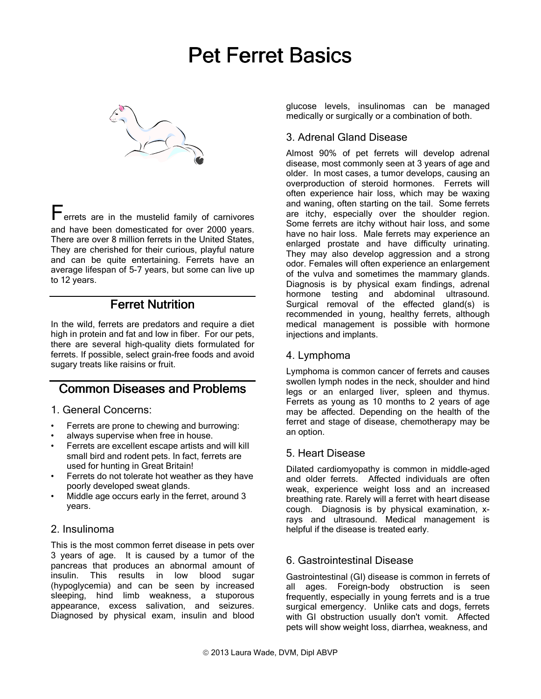# **Pet Ferret Basics**



Ferrets are in the mustelid family of carnivores and have been domesticated for over 2000 years. There are over 8 million ferrets in the United States, They are cherished for their curious, playful nature and can be quite entertaining. Ferrets have an average lifespan of 5-7 years, but some can live up to 12 years.

## **Ferret Nutrition**

In the wild, ferrets are predators and require a diet high in protein and fat and low in fiber. For our pets, there are several high-quality diets formulated for ferrets. If possible, select grain-free foods and avoid sugary treats like raisins or fruit.

# **Common Diseases and Problems**

1. General Concerns:

- Ferrets are prone to chewing and burrowing:
- always supervise when free in house.
- Ferrets are excellent escape artists and will kill small bird and rodent pets. In fact, ferrets are used for hunting in Great Britain!
- Ferrets do not tolerate hot weather as they have poorly developed sweat glands.
- Middle age occurs early in the ferret, around 3 years.

#### 2. Insulinoma

This is the most common ferret disease in pets over 3 years of age. It is caused by a tumor of the pancreas that produces an abnormal amount of insulin. This results in low blood sugar (hypoglycemia) and can be seen by increased sleeping, hind limb weakness, a stuporous appearance, excess salivation, and seizures. Diagnosed by physical exam, insulin and blood

glucose levels, insulinomas can be managed medically or surgically or a combination of both.

## 3. Adrenal Gland Disease

Almost 90% of pet ferrets will develop adrenal disease, most commonly seen at 3 years of age and older. In most cases, a tumor develops, causing an overproduction of steroid hormones. Ferrets will often experience hair loss, which may be waxing and waning, often starting on the tail. Some ferrets are itchy, especially over the shoulder region. Some ferrets are itchy without hair loss, and some have no hair loss. Male ferrets may experience an enlarged prostate and have difficulty urinating. They may also develop aggression and a strong odor. Females will often experience an enlargement of the vulva and sometimes the mammary glands. Diagnosis is by physical exam findings, adrenal hormone testing and abdominal ultrasound. Surgical removal of the effected gland(s) is recommended in young, healthy ferrets, although medical management is possible with hormone injections and implants.

#### 4. Lymphoma

Lymphoma is common cancer of ferrets and causes swollen lymph nodes in the neck, shoulder and hind legs or an enlarged liver, spleen and thymus. Ferrets as young as 10 months to 2 years of age may be affected. Depending on the health of the ferret and stage of disease, chemotherapy may be an option.

## 5. Heart Disease

Dilated cardiomyopathy is common in middle-aged and older ferrets. Affected individuals are often weak, experience weight loss and an increased breathing rate. Rarely will a ferret with heart disease cough. Diagnosis is by physical examination, xrays and ultrasound. Medical management is helpful if the disease is treated early.

## 6. Gastrointestinal Disease

Gastrointestinal (GI) disease is common in ferrets of all ages. Foreign-body obstruction is seen frequently, especially in young ferrets and is a true surgical emergency. Unlike cats and dogs, ferrets with GI obstruction usually don't vomit. Affected pets will show weight loss, diarrhea, weakness, and